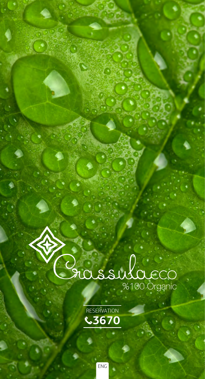

**RESERVATION 3670**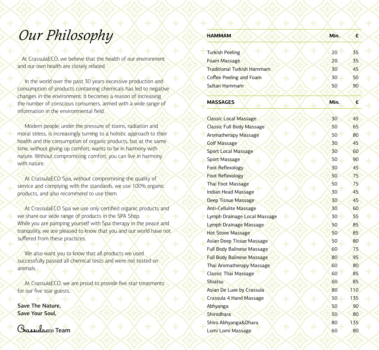## *Our Philosophy*

 At CrassulaECO, we believe that the health of our environment and our own health are closely related.

In the world over the past 30 years excessive production and consumption of products containing chemicals has led to negative changes in the environment. It becomes a reason of increasing the number of conscious consumers, armed with a wide range of information in the environmental field.

Modern people, under the pressure of toxins, radiation and moral stress, is increasingly turning to a holistic approach to their health and the consumption of organic products, but at the same time, without giving up comfort, wants to be in harmony with nature. Without compromising comfort, you can live in harmony with nature.

At CrassulaECO Spa, without compromising the quality of service and complying with the standards, we use 100% organic products, and also recommend to use them.

At CrassulaECO Spa we use only certified organic products and we share our wide range of products in the SPA Shop. While you are pamping yourself with Spa therapy in the peace and tranquility, we are pleased to know that you and our world have not suffered from these practices.

We also want you to know that all products we used successfully passed all chemical tests and were not tested on animals.

At CrassulaECO, we are proud to provide five star treatments for our five star guests.

Save The Nature, Save Your Soul,



| <b>HAMMAM</b>                                            | Min. | €   |
|----------------------------------------------------------|------|-----|
|                                                          | 20   | 35  |
| Turkish Peeling                                          | 20   | 35  |
| <b>Foam Massage</b><br><b>Traditional Turkish Hammam</b> |      |     |
|                                                          | 30   | 45  |
| Coffee Peeling and Foam                                  | 30   | 50  |
| Sultan Hammam                                            | 50   | 90  |
| <b>MASSAGES</b>                                          | Min. | €   |
| <b>Classic Local Massage</b>                             | 30   | 45  |
| <b>Classic Full Body Massage</b>                         | 50   | 65  |
| <b>Aromatherapy Massage</b>                              | 50   | 80  |
| <b>Golf Massage</b>                                      | 30   | 45  |
| <b>Sport Local Massage</b>                               | 30   | 60  |
| Sport Massage                                            | 50   | 90  |
| <b>Foot Reflexology</b>                                  | 30   | 45  |
| <b>Foot Reflexology</b>                                  | 50   | 75  |
| Thai Foot Massage                                        | 50   | 75  |
| Indian Head Massage                                      | 30   | 45  |
| <b>Deep Tissue Massage</b>                               | 30   | 45  |
| <b>Anti-Cellulite Massage</b>                            | 30   | 60  |
| Lymph Drainage Local Massage                             | 30   | 55  |
| Lymph Drainage Massage                                   | 50   | 85  |
| <b>Hot Stone Massage</b>                                 | 50   | 85  |
| Asian Deep Tissue Massage                                | 50   | 80  |
| <b>Full Body Balinese Massage</b>                        | 60   | 75  |
| <b>Full Body Balinese Massage</b>                        | 80   | 95  |
| Thai Aromatherapy Massage                                | 60   | 80  |
| Classic Thai Massage                                     | 60   | 85  |
| <b>Shiatsu</b>                                           | 60   | 85  |
| <b>Asian De Luxe by Crassula</b>                         | 80   | 110 |
| Crassula 4 Hand Massage                                  | 50   | 135 |
| Abhyanga                                                 | 50   | 90  |
| Shirodhara                                               | 50   | 80  |
| Shiro Abhyanga&Dhara                                     | 80   | 135 |
| Lomi Lomi Massage                                        | 60   | 80  |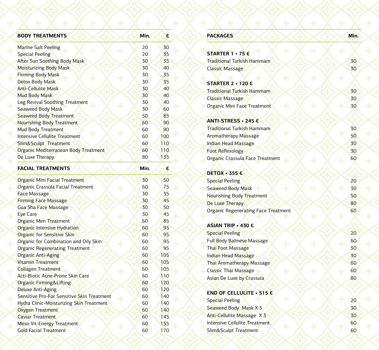| <b>BODY TREATMENTS</b>                     | Min. | €   |  |
|--------------------------------------------|------|-----|--|
| <b>Marine Salt Peeling</b>                 | 20   | 30  |  |
| <b>Special Peeling</b>                     | 20   | 35  |  |
| <b>After Sun Soothing Body Mask</b>        | 30   | 35  |  |
| <b>Moisturizing Body Mask</b>              | 30   | 40  |  |
| <b>Firming Body Mask</b>                   | 30   | 35  |  |
| Detox Body Mask                            | 30   | 35  |  |
| <b>Anti-Cellulite Mask</b>                 | 30   | 40  |  |
| <b>Mud Body Mask</b>                       | 30   | 40  |  |
| Leg Revival Soothing Treatment             | 30   | 40  |  |
| <b>Seaweed Body Mask</b>                   | 30   | 60  |  |
| <b>Seaweed Body Treatment</b>              | 50   | 85  |  |
| <b>Nourishing Body Treatment</b>           | 60   | 90  |  |
| <b>Mud Body Treatment</b>                  | 60   | 90  |  |
| <b>Intensive Cellulite Treatment</b>       | 60   | 100 |  |
| Slim&Sculpt Treatment                      | 60   | 110 |  |
| Organic Mediterranean Body Treatment       | 60   | 110 |  |
| De Luxe Therapy                            | 80   | 135 |  |
| <b>FACIAL TREATMENTS</b>                   | Min. | €   |  |
| <b>Organic Mini Facial Treatment</b>       | 30   | 50  |  |
| Organic Crassula Facial Treatment          | 60   | 75  |  |
| <b>Face Massage</b>                        | 30   | 35  |  |
| <b>Firming Face Massage</b>                | 30   | 45  |  |
| <b>Gua Sha Face Massage</b>                | 30   | 50  |  |
| Eye Care                                   | 30   | 45  |  |
| Organic Men Treatment                      | 60   | 85  |  |
| <b>Organic Intensive Hydration</b>         | 60   | 95  |  |
| <b>Organic for Sensitive Skin</b>          | 60   | 95  |  |
| Organic for Combination and Oily Skin      | 60   | 95  |  |
| <b>Organic Regenerating Treatment</b>      | 60   | 95  |  |
| <b>Organic Anti-Aging</b>                  | 60   | 105 |  |
| <b>Vitamin Treatment</b>                   | 60   | 105 |  |
| <b>Collagen Treatment</b>                  | 60   | 105 |  |
| Acti-Biotic Acne-Prone Skin Care           | 60   | 110 |  |
| <b>Organic Firming&amp;Lifting</b>         | 60   | 120 |  |
| <b>Deluxe Anti-Aging</b>                   | 60   | 120 |  |
| Sensitive Pro-For Sensitive Skin Treatment | 60   | 140 |  |
| Hydra Clinic-Moisturizing Skin Treatment   | 60   | 140 |  |
| Oxygen Treatment                           | 60   | 140 |  |
| <b>Caviar Treatment</b>                    | 60   | 145 |  |
| Meso Vit-Energy Treatment                  | 60   | 155 |  |
| <b>Gold Facial Treatment</b>               | 60   | 170 |  |

| <b>PACKAGES</b>                     | Min. |
|-------------------------------------|------|
|                                     |      |
| STARTER 1 · 75 €                    |      |
| <b>Traditional Turkish Hammam</b>   | 30   |
| <b>Classic Massage</b>              | 30   |
| STARTER 2 · 120 €                   |      |
| <b>Traditional Turkish Hammam</b>   | 30   |
| <b>Classic Massage</b>              | 30   |
| Organic Mini Face Treatment         | 30   |
| ANTI-STRESS • 245 €                 |      |
| Traditional Turkish Hammam          | 30   |
| Aromatherapy Massage                | 50   |
| <b>Indian Head Massage</b>          | 30   |
| <b>Foot Reflexology</b>             | 30   |
| Organic Crassula Face Treatment     | 60   |
| <b>DETOX · 355 €</b>                |      |
| <b>Special Peeling</b>              | 20   |
| Seaweed Body Mask                   | 30   |
| Nourishing Body Treatment           | 50   |
| De Luxe Therapy                     | 80   |
| Organic Regenerating Face Treatment | 60   |
| ASIAN TRIP • 430 €                  |      |
| <b>Special Peeling</b>              | 20   |
| <b>Full Body Balinese Massage</b>   | 60   |
| Thai Foot Massage                   | 50   |
| <b>Indian Head Massage</b>          | 30   |
| <b>Thai Aromatherapy Massage</b>    | 60   |
| Classic Thai Massage                | 60   |
| Asian De Luxe by Crassula           | 80   |
| END OF CELLULITE • 515 €            |      |
| <b>Special Peeling</b>              | 20   |
| Seaweed Body Mask X 3               | 30   |
| Anti-Cellulite Massage X 3          | 30   |
| Intensive Cellulite Treatment       | 60   |
| Slim&Sculpt Treatment               | 60   |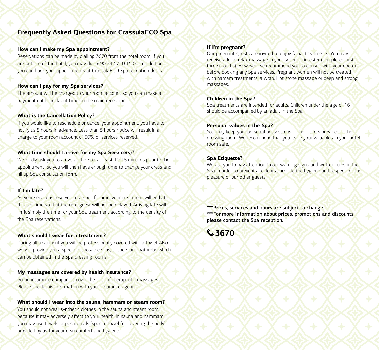### **Frequently Asked Questions for CrassulaECO Spa**

#### **How can i make my Spa appointment?**

Reservations can be made by dialling 3670 from the hotel room, if you are outside of the hotel, you may dial + 90 242 710 15 00. In addition, you can book your appointments at CrassulaECO Spa reception desks.

#### **How can I pay for my Spa services?**

The amount will be charged to your room account so you can make a payment until check-out time on the main reception.

#### **What is the Cancellation Policy?**

If you would like to reschedule or cancel your appointment, you have to notify us 5 hours in advance. Less than 5 hours notice will result in a charge to your room account of 50% of services reserved.

#### **What time should I arrive for my Spa Service(s)?**

We kindly ask you to arrive at the Spa at least 10-15 minutes prior to the appointment so you will then have enough time to change your dress and fill up Spa consultation form.

#### **If I'm late?**

As your service is reserved at a specific time, your treatment will end at this set time so that the next guest will not be delayed. Arriving late will limit simply the time for your Spa treatment according to the density of the Spa reservations.

#### **What should I wear for a treatment?**

During all treatment you will be professionally covered with a towel. Also we will provide you a special disposable slips, slippers and bathrobe which can be obtained in the Spa dressing rooms.

#### **My massages are covered by health insurance?**

Some insurance companies cover the cost of therapeutic massages. Please check this information with your insurance agent.

#### **What should I wear into the sauna, hammam or steam room?**

You should not wear synthetic clothes in the sauna and steam room, because it may adversely affect to your health. In sauna and hammam you may use towels or peshtemals (special towel for covering the body) provided by us for your own comfort and hygiene.

#### **If I'm pregnant?**

Our pregnant guests are invited to enjoy facial treatments. You may receive a local relax massage in your second trimester (completed first three months). However, we recommend you to consult with your doctor before booking any Spa services. Pregnant women will not be treated with hamam treatments, a wrap. Hot stone massage or deep and strong massages.

#### **Children in the Spa?**

Spa treatments are intended for adults. Children under the age of 16 should be accompanied by an adult in the Spa.

#### **Personal values in the Spa?**

You may keep your personal possessions in the lockers provided in the dressing room. We recommend that you leave your valuables in your hotel room safe.

#### **Spa Etiquette?**

We ask you to pay attention to our warning signs and written rules in the Spa in order to prevent accidents , provide the hygiene and respect for the pleasure of our other guests.

\*\*\*Prices, services and hours are subject to change. \*\*\*For more information about prices, promotions and discounts please contact the Spa reception.

**3670**